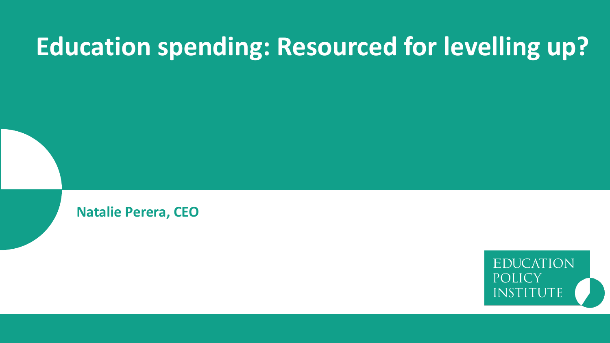# **Education spending: Resourced for levelling up?**

**Natalie Perera, CEO**

**EDUCATION** POLICY INSTITUTE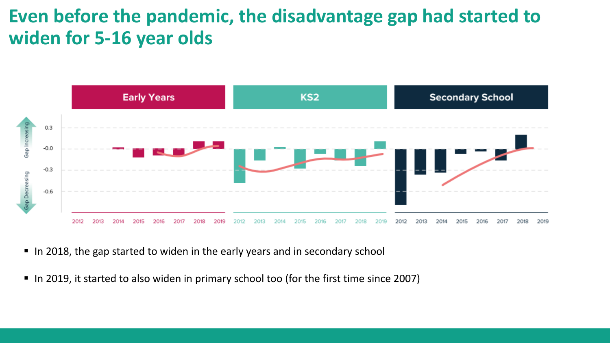#### **Even before the pandemic, the disadvantage gap had started to widen for 5-16 year olds**



- In 2018, the gap started to widen in the early years and in secondary school
- In 2019, it started to also widen in primary school too (for the first time since 2007)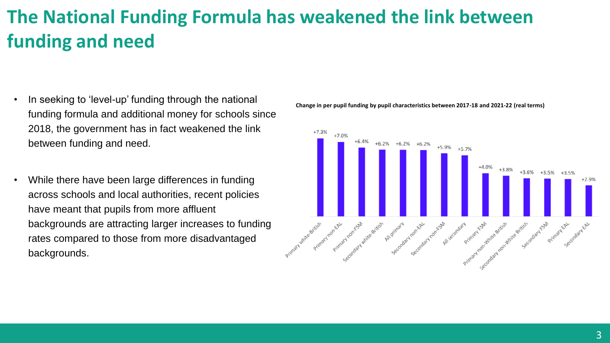### **The National Funding Formula has weakened the link between funding and need**

- In seeking to 'level-up' funding through the national funding formula and additional money for schools since 2018, the government has in fact weakened the link between funding and need.
- While there have been large differences in funding across schools and local authorities, recent policies have meant that pupils from more affluent backgrounds are attracting larger increases to funding rates compared to those from more disadvantaged backgrounds.



**Change in per pupil funding by pupil characteristics between 2017-18 and 2021-22 (real terms)**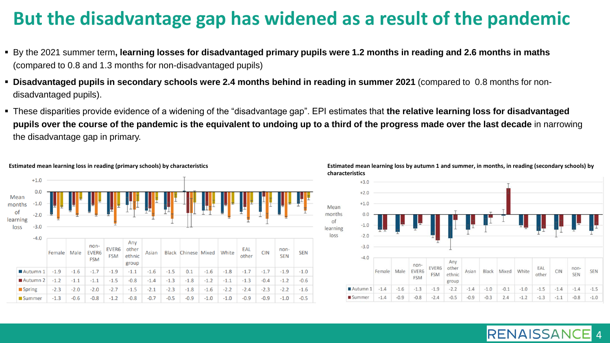#### **But the disadvantage gap has widened as a result of the pandemic**

- By the 2021 summer term**, learning losses for disadvantaged primary pupils were 1.2 months in reading and 2.6 months in maths**  (compared to 0.8 and 1.3 months for non-disadvantaged pupils)
- **Disadvantaged pupils in secondary schools were 2.4 months behind in reading in summer 2021** (compared to 0.8 months for nondisadvantaged pupils).
- These disparities provide evidence of a widening of the "disadvantage gap". EPI estimates that **the relative learning loss for disadvantaged pupils over the course of the pandemic is the equivalent to undoing up to a third of the progress made over the last decade** in narrowing the disadvantage gap in primary.







4

**RENAISSAN**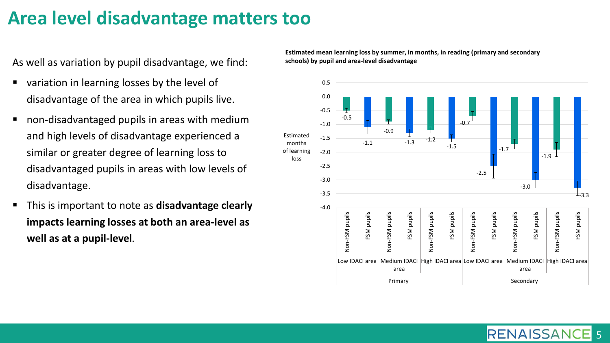#### **Area level disadvantage matters too**

As well as variation by pupil disadvantage, we find:

- variation in learning losses by the level of disadvantage of the area in which pupils live.
- non-disadvantaged pupils in areas with medium and high levels of disadvantage experienced a similar or greater degree of learning loss to disadvantaged pupils in areas with low levels of disadvantage.
- This is important to note as **disadvantage clearly impacts learning losses at both an area-level as well as at a pupil-level.**